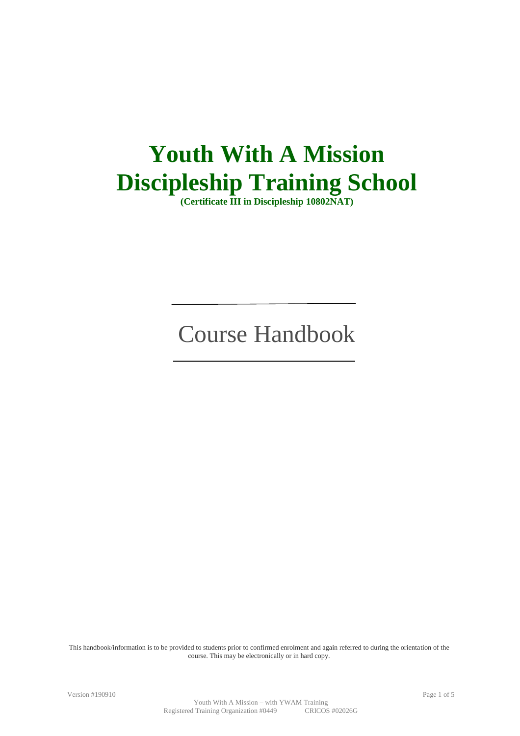# **Youth With A Mission Discipleship Training School**

**(Certificate III in Discipleship 10802NAT)**

# Course Handbook

This handbook/information is to be provided to students prior to confirmed enrolment and again referred to during the orientation of the course. This may be electronically or in hard copy.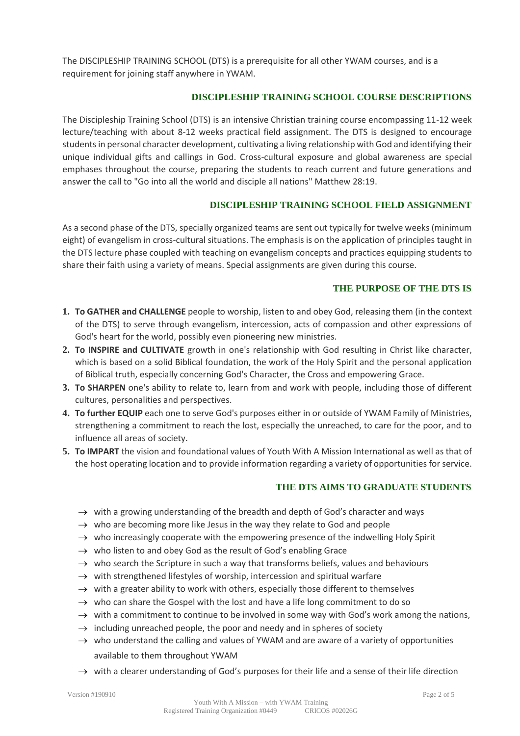The DISCIPLESHIP TRAINING SCHOOL (DTS) is a prerequisite for all other YWAM courses, and is a requirement for joining staff anywhere in YWAM.

#### **DISCIPLESHIP TRAINING SCHOOL COURSE DESCRIPTIONS**

The Discipleship Training School (DTS) is an intensive Christian training course encompassing 11-12 week lecture/teaching with about 8-12 weeks practical field assignment. The DTS is designed to encourage students in personal character development, cultivating a living relationship with God and identifying their unique individual gifts and callings in God. Cross-cultural exposure and global awareness are special emphases throughout the course, preparing the students to reach current and future generations and answer the call to "Go into all the world and disciple all nations" Matthew 28:19.

# **DISCIPLESHIP TRAINING SCHOOL FIELD ASSIGNMENT**

As a second phase of the DTS, specially organized teams are sent out typically for twelve weeks (minimum eight) of evangelism in cross-cultural situations. The emphasis is on the application of principles taught in the DTS lecture phase coupled with teaching on evangelism concepts and practices equipping students to share their faith using a variety of means. Special assignments are given during this course.

#### **THE PURPOSE OF THE DTS IS**

- **1. To GATHER and CHALLENGE** people to worship, listen to and obey God, releasing them (in the context of the DTS) to serve through evangelism, intercession, acts of compassion and other expressions of God's heart for the world, possibly even pioneering new ministries.
- **2. To INSPIRE and CULTIVATE** growth in one's relationship with God resulting in Christ like character, which is based on a solid Biblical foundation, the work of the Holy Spirit and the personal application of Biblical truth, especially concerning God's Character, the Cross and empowering Grace.
- **3. To SHARPEN** one's ability to relate to, learn from and work with people, including those of different cultures, personalities and perspectives.
- **4. To further EQUIP** each one to serve God's purposes either in or outside of YWAM Family of Ministries, strengthening a commitment to reach the lost, especially the unreached, to care for the poor, and to influence all areas of society.
- **5. To IMPART** the vision and foundational values of Youth With A Mission International as well as that of the host operating location and to provide information regarding a variety of opportunities for service.

#### **THE DTS AIMS TO GRADUATE STUDENTS**

- $\rightarrow$  with a growing understanding of the breadth and depth of God's character and ways
- $\rightarrow$  who are becoming more like Jesus in the way they relate to God and people
- $\rightarrow$  who increasingly cooperate with the empowering presence of the indwelling Holy Spirit
- $\rightarrow$  who listen to and obey God as the result of God's enabling Grace
- $\rightarrow$  who search the Scripture in such a way that transforms beliefs, values and behaviours
- $\rightarrow$  with strengthened lifestyles of worship, intercession and spiritual warfare
- $\rightarrow$  with a greater ability to work with others, especially those different to themselves
- $\rightarrow$  who can share the Gospel with the lost and have a life long commitment to do so
- $\rightarrow$  with a commitment to continue to be involved in some way with God's work among the nations,
- $\rightarrow$  including unreached people, the poor and needy and in spheres of society
- $\rightarrow$  who understand the calling and values of YWAM and are aware of a variety of opportunities available to them throughout YWAM
- $\rightarrow$  with a clearer understanding of God's purposes for their life and a sense of their life direction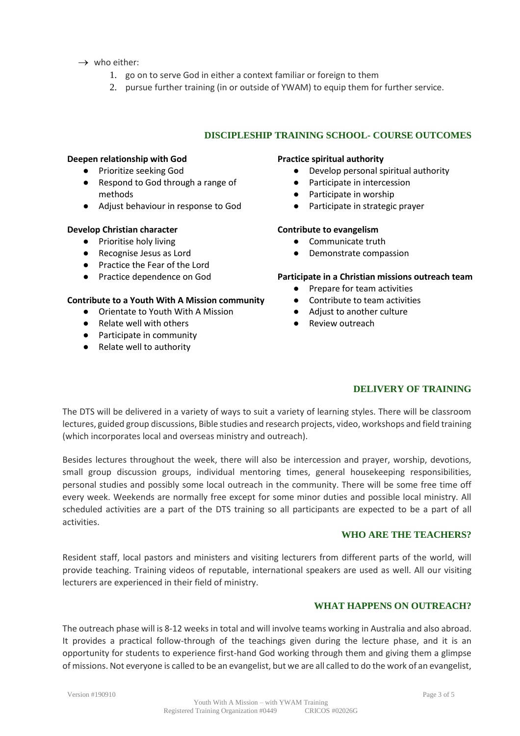- $\rightarrow$  who either:
	- 1. go on to serve God in either a context familiar or foreign to them
	- 2. pursue further training (in or outside of YWAM) to equip them for further service.

# **DISCIPLESHIP TRAINING SCHOOL- COURSE OUTCOMES**

#### **Deepen relationship with God**

- Prioritize seeking God
- Respond to God through a range of methods
- Adjust behaviour in response to God

#### **Develop Christian character**

- Prioritise holy living
- Recognise Jesus as Lord
- Practice the Fear of the Lord
- Practice dependence on God

#### **Contribute to a Youth With A Mission community**

- Orientate to Youth With A Mission
- Relate well with others
- Participate in community
- Relate well to authority

#### **Practice spiritual authority**

- Develop personal spiritual authority
- Participate in intercession
- Participate in worship
- Participate in strategic prayer

#### **Contribute to evangelism**

- Communicate truth
- Demonstrate compassion

#### **Participate in a Christian missions outreach team**

- Prepare for team activities
- Contribute to team activities
- Adjust to another culture
- Review outreach

# **DELIVERY OF TRAINING**

The DTS will be delivered in a variety of ways to suit a variety of learning styles. There will be classroom lectures, guided group discussions, Bible studies and research projects, video, workshops and field training (which incorporates local and overseas ministry and outreach).

Besides lectures throughout the week, there will also be intercession and prayer, worship, devotions, small group discussion groups, individual mentoring times, general housekeeping responsibilities, personal studies and possibly some local outreach in the community. There will be some free time off every week. Weekends are normally free except for some minor duties and possible local ministry. All scheduled activities are a part of the DTS training so all participants are expected to be a part of all activities.

## **WHO ARE THE TEACHERS?**

Resident staff, local pastors and ministers and visiting lecturers from different parts of the world, will provide teaching. Training videos of reputable, international speakers are used as well. All our visiting lecturers are experienced in their field of ministry.

#### **WHAT HAPPENS ON OUTREACH?**

The outreach phase will is 8-12 weeks in total and will involve teams working in Australia and also abroad. It provides a practical follow-through of the teachings given during the lecture phase, and it is an opportunity for students to experience first-hand God working through them and giving them a glimpse of missions. Not everyone is called to be an evangelist, but we are all called to do the work of an evangelist,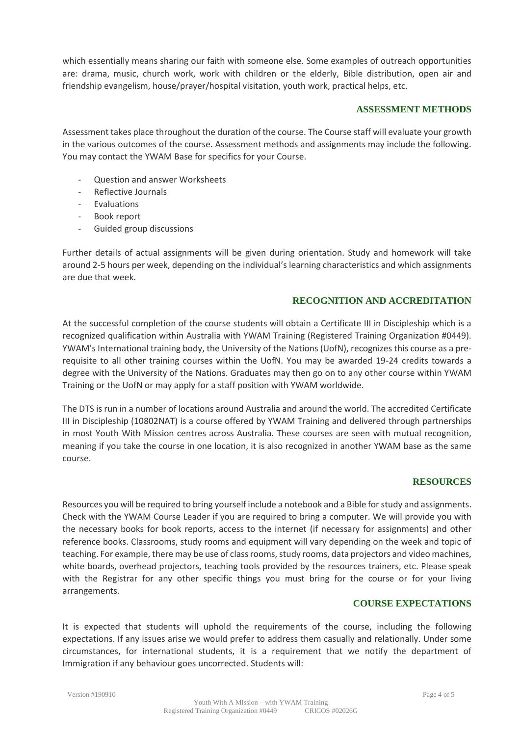which essentially means sharing our faith with someone else. Some examples of outreach opportunities are: drama, music, church work, work with children or the elderly, Bible distribution, open air and friendship evangelism, house/prayer/hospital visitation, youth work, practical helps, etc.

## **ASSESSMENT METHODS**

Assessment takes place throughout the duration of the course. The Course staff will evaluate your growth in the various outcomes of the course. Assessment methods and assignments may include the following. You may contact the YWAM Base for specifics for your Course.

- Question and answer Worksheets
- Reflective Journals
- Evaluations
- Book report
- Guided group discussions

Further details of actual assignments will be given during orientation. Study and homework will take around 2-5 hours per week, depending on the individual's learning characteristics and which assignments are due that week.

## **RECOGNITION AND ACCREDITATION**

At the successful completion of the course students will obtain a Certificate III in Discipleship which is a recognized qualification within Australia with YWAM Training (Registered Training Organization #0449). YWAM's International training body, the University of the Nations (UofN), recognizes this course as a prerequisite to all other training courses within the UofN. You may be awarded 19-24 credits towards a degree with the University of the Nations. Graduates may then go on to any other course within YWAM Training or the UofN or may apply for a staff position with YWAM worldwide.

The DTS is run in a number of locations around Australia and around the world. The accredited Certificate III in Discipleship (10802NAT) is a course offered by YWAM Training and delivered through partnerships in most Youth With Mission centres across Australia. These courses are seen with mutual recognition, meaning if you take the course in one location, it is also recognized in another YWAM base as the same course.

#### **RESOURCES**

Resources you will be required to bring yourself include a notebook and a Bible for study and assignments. Check with the YWAM Course Leader if you are required to bring a computer. We will provide you with the necessary books for book reports, access to the internet (if necessary for assignments) and other reference books. Classrooms, study rooms and equipment will vary depending on the week and topic of teaching. For example, there may be use of class rooms, study rooms, data projectors and video machines, white boards, overhead projectors, teaching tools provided by the resources trainers, etc. Please speak with the Registrar for any other specific things you must bring for the course or for your living arrangements.

#### **COURSE EXPECTATIONS**

It is expected that students will uphold the requirements of the course, including the following expectations. If any issues arise we would prefer to address them casually and relationally. Under some circumstances, for international students, it is a requirement that we notify the department of Immigration if any behaviour goes uncorrected. Students will: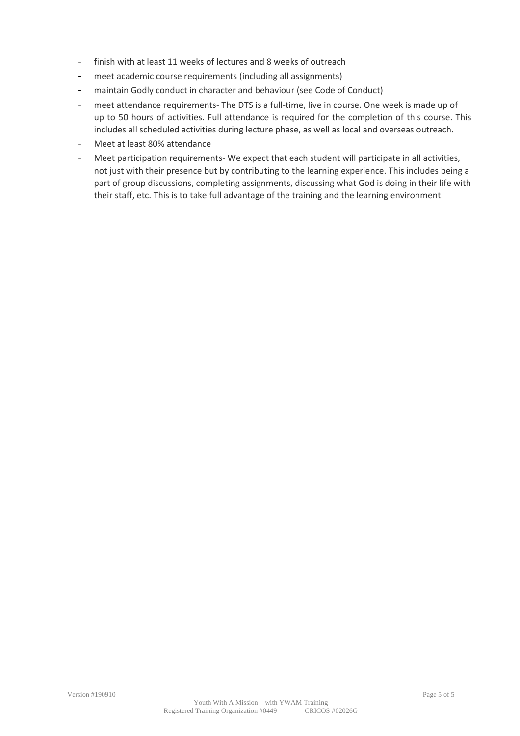- finish with at least 11 weeks of lectures and 8 weeks of outreach
- meet academic course requirements (including all assignments)
- maintain Godly conduct in character and behaviour (see Code of Conduct)
- meet attendance requirements- The DTS is a full-time, live in course. One week is made up of up to 50 hours of activities. Full attendance is required for the completion of this course. This includes all scheduled activities during lecture phase, as well as local and overseas outreach.
- Meet at least 80% attendance
- Meet participation requirements- We expect that each student will participate in all activities, not just with their presence but by contributing to the learning experience. This includes being a part of group discussions, completing assignments, discussing what God is doing in their life with their staff, etc. This is to take full advantage of the training and the learning environment.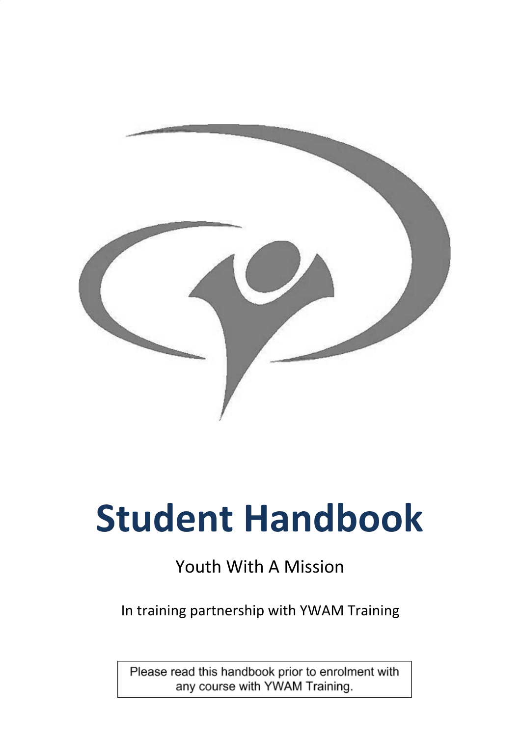

# **Student Handbook**

# Youth With A Mission

In training partnership with YWAM Training

Please read this handbook prior to enrolment with any course with YWAM Training.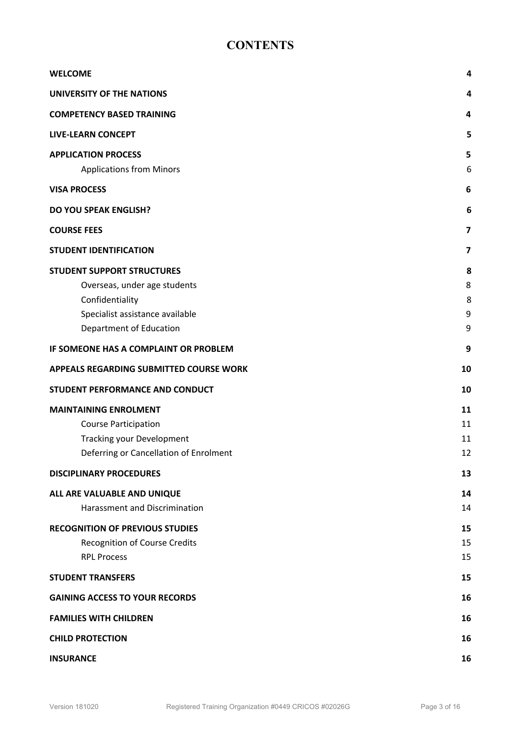# **CONTENTS**

<span id="page-7-0"></span>

| <b>WELCOME</b>                                                | 4                |
|---------------------------------------------------------------|------------------|
| <b>UNIVERSITY OF THE NATIONS</b>                              | 4                |
| <b>COMPETENCY BASED TRAINING</b>                              | 4                |
| <b>LIVE-LEARN CONCEPT</b>                                     | 5                |
| <b>APPLICATION PROCESS</b><br><b>Applications from Minors</b> | 5<br>6           |
| <b>VISA PROCESS</b>                                           | 6                |
| <b>DO YOU SPEAK ENGLISH?</b>                                  | 6                |
| <b>COURSE FEES</b>                                            | 7                |
|                                                               |                  |
| <b>STUDENT IDENTIFICATION</b>                                 | 7                |
| <b>STUDENT SUPPORT STRUCTURES</b>                             | 8                |
| Overseas, under age students                                  | 8                |
| Confidentiality                                               | 8                |
| Specialist assistance available                               | $\boldsymbol{9}$ |
| Department of Education                                       | 9                |
| IF SOMEONE HAS A COMPLAINT OR PROBLEM                         | 9                |
| APPEALS REGARDING SUBMITTED COURSE WORK                       | 10               |
| STUDENT PERFORMANCE AND CONDUCT                               | 10               |
| <b>MAINTAINING ENROLMENT</b>                                  | 11               |
| <b>Course Participation</b>                                   | 11               |
| <b>Tracking your Development</b>                              | 11               |
| Deferring or Cancellation of Enrolment                        | 12               |
| <b>DISCIPLINARY PROCEDURES</b>                                | 13               |
| ALL ARE VALUABLE AND UNIQUE                                   | 14               |
| <b>Harassment and Discrimination</b>                          | 14               |
| <b>RECOGNITION OF PREVIOUS STUDIES</b>                        | 15               |
| <b>Recognition of Course Credits</b>                          | 15               |
| <b>RPL Process</b>                                            | 15               |
| <b>STUDENT TRANSFERS</b>                                      | 15               |
| <b>GAINING ACCESS TO YOUR RECORDS</b>                         | 16               |
| <b>FAMILIES WITH CHILDREN</b>                                 | 16               |
| <b>CHILD PROTECTION</b>                                       | 16               |
| <b>INSURANCE</b>                                              | 16               |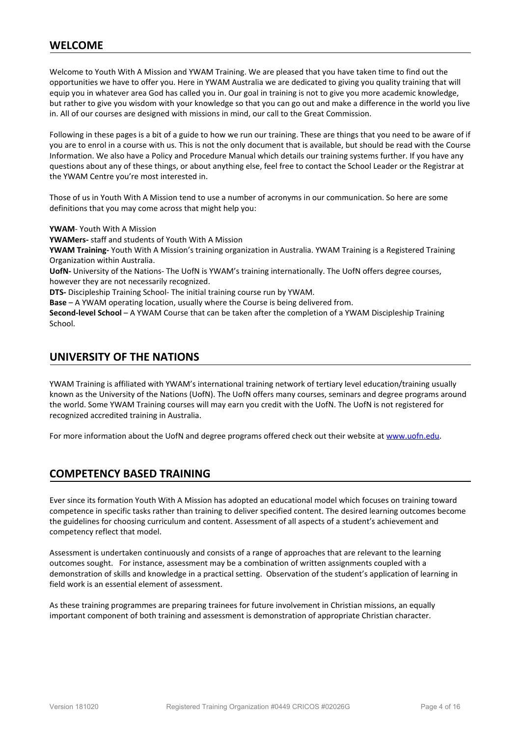# **WELCOME**

Welcome to Youth With A Mission and YWAM Training. We are pleased that you have taken time to find out the opportunities we have to offer you. Here in YWAM Australia we are dedicated to giving you quality training that will equip you in whatever area God has called you in. Our goal in training is not to give you more academic knowledge, but rather to give you wisdom with your knowledge so that you can go out and make a difference in the world you live in. All of our courses are designed with missions in mind, our call to the Great Commission.

Following in these pages is a bit of a guide to how we run our training. These are things that you need to be aware of if you are to enrol in a course with us. This is not the only document that is available, but should be read with the Course Information. We also have a Policy and Procedure Manual which details our training systems further. If you have any questions about any of these things, or about anything else, feel free to contact the School Leader or the Registrar at the YWAM Centre you're most interested in.

Those of us in Youth With A Mission tend to use a number of acronyms in our communication. So here are some definitions that you may come across that might help you:

**YWAM**- Youth With A Mission

**YWAMers-** staff and students of Youth With A Mission

**YWAM Training-** Youth With A Mission's training organization in Australia. YWAM Training is a Registered Training Organization within Australia.

**UofN-** University of the Nations- The UofN is YWAM's training internationally. The UofN offers degree courses, however they are not necessarily recognized.

**DTS-** Discipleship Training School- The initial training course run by YWAM.

**Base** – A YWAM operating location, usually where the Course is being delivered from.

**Second-level School** – A YWAM Course that can be taken after the completion of a YWAM Discipleship Training School.

# <span id="page-8-0"></span>**UNIVERSITY OF THE NATIONS**

YWAM Training is affiliated with YWAM's international training network of tertiary level education/training usually known as the University of the Nations (UofN). The UofN offers many courses, seminars and degree programs around the world. Some YWAM Training courses will may earn you credit with the UofN. The UofN is not registered for recognized accredited training in Australia.

For more information about the UofN and degree programs offered check out their website at [www.uofn.edu.](http://www.uofn.edu/)

# <span id="page-8-1"></span>**COMPETENCY BASED TRAINING**

Ever since its formation Youth With A Mission has adopted an educational model which focuses on training toward competence in specific tasks rather than training to deliver specified content. The desired learning outcomes become the guidelines for choosing curriculum and content. Assessment of all aspects of a student's achievement and competency reflect that model.

Assessment is undertaken continuously and consists of a range of approaches that are relevant to the learning outcomes sought. For instance, assessment may be a combination of written assignments coupled with a demonstration of skills and knowledge in a practical setting. Observation of the student's application of learning in field work is an essential element of assessment.

As these training programmes are preparing trainees for future involvement in Christian missions, an equally important component of both training and assessment is demonstration of appropriate Christian character.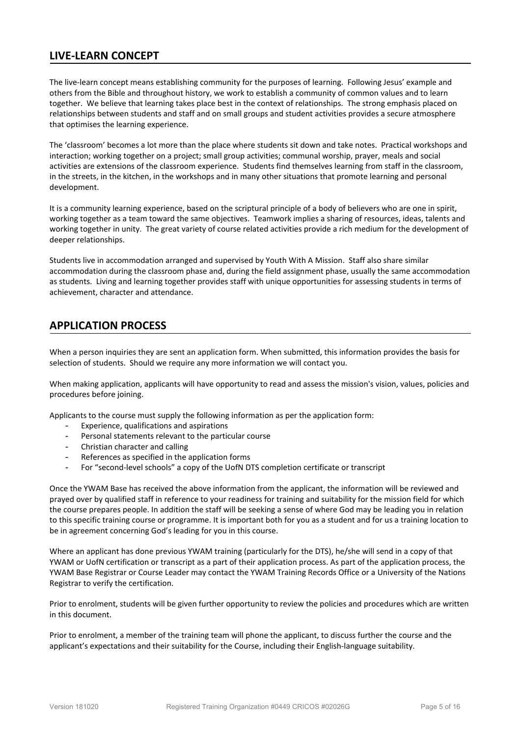# <span id="page-9-0"></span>**LIVE-LEARN CONCEPT**

The live-learn concept means establishing community for the purposes of learning. Following Jesus' example and others from the Bible and throughout history, we work to establish a community of common values and to learn together. We believe that learning takes place best in the context of relationships. The strong emphasis placed on relationships between students and staff and on small groups and student activities provides a secure atmosphere that optimises the learning experience.

The 'classroom' becomes a lot more than the place where students sit down and take notes. Practical workshops and interaction; working together on a project; small group activities; communal worship, prayer, meals and social activities are extensions of the classroom experience. Students find themselves learning from staff in the classroom, in the streets, in the kitchen, in the workshops and in many other situations that promote learning and personal development.

It is a community learning experience, based on the scriptural principle of a body of believers who are one in spirit, working together as a team toward the same objectives. Teamwork implies a sharing of resources, ideas, talents and working together in unity. The great variety of course related activities provide a rich medium for the development of deeper relationships.

Students live in accommodation arranged and supervised by Youth With A Mission. Staff also share similar accommodation during the classroom phase and, during the field assignment phase, usually the same accommodation as students. Living and learning together provides staff with unique opportunities for assessing students in terms of achievement, character and attendance.

# <span id="page-9-1"></span>**APPLICATION PROCESS**

When a person inquiries they are sent an application form. When submitted, this information provides the basis for selection of students. Should we require any more information we will contact you.

When making application, applicants will have opportunity to read and assess the mission's vision, values, policies and procedures before joining.

Applicants to the course must supply the following information as per the application form:

- Experience, qualifications and aspirations
- Personal statements relevant to the particular course
- Christian character and calling
- References as specified in the application forms
- For "second-level schools" a copy of the UofN DTS completion certificate or transcript

Once the YWAM Base has received the above information from the applicant, the information will be reviewed and prayed over by qualified staff in reference to your readiness for training and suitability for the mission field for which the course prepares people. In addition the staff will be seeking a sense of where God may be leading you in relation to this specific training course or programme. It is important both for you as a student and for us a training location to be in agreement concerning God's leading for you in this course.

Where an applicant has done previous YWAM training (particularly for the DTS), he/she will send in a copy of that YWAM or UofN certification or transcript as a part of their application process. As part of the application process, the YWAM Base Registrar or Course Leader may contact the YWAM Training Records Office or a University of the Nations Registrar to verify the certification.

Prior to enrolment, students will be given further opportunity to review the policies and procedures which are written in this document.

Prior to enrolment, a member of the training team will phone the applicant, to discuss further the course and the applicant's expectations and their suitability for the Course, including their English-language suitability.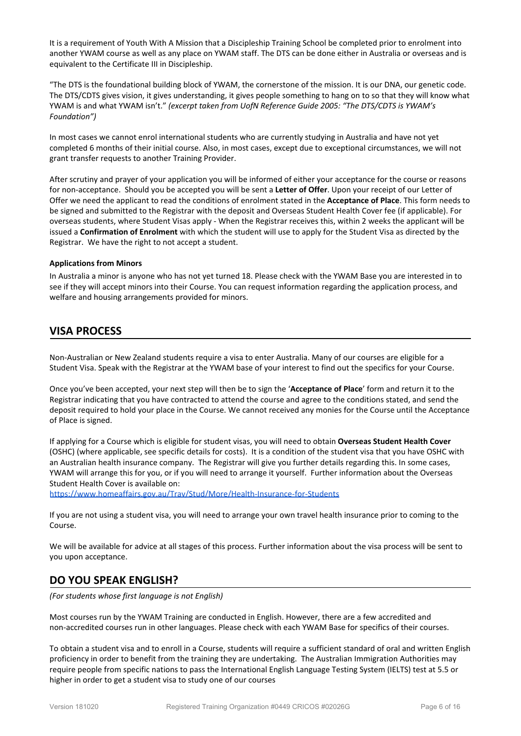It is a requirement of Youth With A Mission that a Discipleship Training School be completed prior to enrolment into another YWAM course as well as any place on YWAM staff. The DTS can be done either in Australia or overseas and is equivalent to the Certificate III in Discipleship.

"The DTS is the foundational building block of YWAM, the cornerstone of the mission. It is our DNA, our genetic code. The DTS/CDTS gives vision, it gives understanding, it gives people something to hang on to so that they will know what YWAM is and what YWAM isn't." *(excerpt taken from UofN Reference Guide 2005: "The DTS/CDTS is YWAM's Foundation")*

In most cases we cannot enrol international students who are currently studying in Australia and have not yet completed 6 months of their initial course. Also, in most cases, except due to exceptional circumstances, we will not grant transfer requests to another Training Provider.

After scrutiny and prayer of your application you will be informed of either your acceptance for the course or reasons for non-acceptance. Should you be accepted you will be sent a **Letter of Offer**. Upon your receipt of our Letter of Offer we need the applicant to read the conditions of enrolment stated in the **Acceptance of Place**. This form needs to be signed and submitted to the Registrar with the deposit and Overseas Student Health Cover fee (if applicable). For overseas students, where Student Visas apply - When the Registrar receives this, within 2 weeks the applicant will be issued a **Confirmation of Enrolment** with which the student will use to apply for the Student Visa as directed by the Registrar. We have the right to not accept a student.

#### <span id="page-10-0"></span>**Applications from Minors**

In Australia a minor is anyone who has not yet turned 18. Please check with the YWAM Base you are interested in to see if they will accept minors into their Course. You can request information regarding the application process, and welfare and housing arrangements provided for minors.

# <span id="page-10-1"></span>**VISA PROCESS**

Non-Australian or New Zealand students require a visa to enter Australia. Many of our courses are eligible for a Student Visa. Speak with the Registrar at the YWAM base of your interest to find out the specifics for your Course.

Once you've been accepted, your next step will then be to sign the '**Acceptance of Place**' form and return it to the Registrar indicating that you have contracted to attend the course and agree to the conditions stated, and send the deposit required to hold your place in the Course. We cannot received any monies for the Course until the Acceptance of Place is signed.

If applying for a Course which is eligible for student visas, you will need to obtain **Overseas Student Health Cover** (OSHC) (where applicable, see specific details for costs). It is a condition of the student visa that you have OSHC with an Australian health insurance company. The Registrar will give you further details regarding this. In some cases, YWAM will arrange this for you, or if you will need to arrange it yourself. Further information about the Overseas Student Health Cover is available on:

<https://www.homeaffairs.gov.au/Trav/Stud/More/Health-Insurance-for-Students>

If you are not using a student visa, you will need to arrange your own travel health insurance prior to coming to the Course.

We will be available for advice at all stages of this process. Further information about the visa process will be sent to you upon acceptance.

# <span id="page-10-2"></span>**DO YOU SPEAK ENGLISH?**

*(For students whose first language is not English)*

Most courses run by the YWAM Training are conducted in English. However, there are a few accredited and non-accredited courses run in other languages. Please check with each YWAM Base for specifics of their courses.

To obtain a student visa and to enroll in a Course, students will require a sufficient standard of oral and written English proficiency in order to benefit from the training they are undertaking. The Australian Immigration Authorities may require people from specific nations to pass the International English Language Testing System (IELTS) test at 5.5 or higher in order to get a student visa to study one of our courses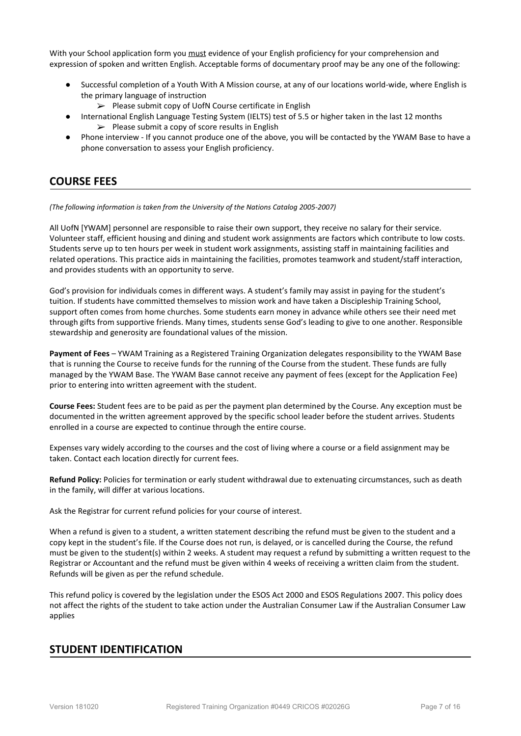With your School application form you must evidence of your English proficiency for your comprehension and expression of spoken and written English. Acceptable forms of documentary proof may be any one of the following:

- Successful completion of a Youth With A Mission course, at any of our locations world-wide, where English is the primary language of instruction
	- $\triangleright$  Please submit copy of UofN Course certificate in English
- International English Language Testing System (IELTS) test of 5.5 or higher taken in the last 12 months  $\triangleright$  Please submit a copy of score results in English
- Phone interview If you cannot produce one of the above, you will be contacted by the YWAM Base to have a phone conversation to assess your English proficiency.

# <span id="page-11-0"></span>**COURSE FEES**

*(The following information is taken from the University of the Nations Catalog 2005-2007)*

All UofN [YWAM] personnel are responsible to raise their own support, they receive no salary for their service. Volunteer staff, efficient housing and dining and student work assignments are factors which contribute to low costs. Students serve up to ten hours per week in student work assignments, assisting staff in maintaining facilities and related operations. This practice aids in maintaining the facilities, promotes teamwork and student/staff interaction, and provides students with an opportunity to serve.

God's provision for individuals comes in different ways. A student's family may assist in paying for the student's tuition. If students have committed themselves to mission work and have taken a Discipleship Training School, support often comes from home churches. Some students earn money in advance while others see their need met through gifts from supportive friends. Many times, students sense God's leading to give to one another. Responsible stewardship and generosity are foundational values of the mission.

**Payment of Fees** – YWAM Training as a Registered Training Organization delegates responsibility to the YWAM Base that is running the Course to receive funds for the running of the Course from the student. These funds are fully managed by the YWAM Base. The YWAM Base cannot receive any payment of fees (except for the Application Fee) prior to entering into written agreement with the student.

**Course Fees:** Student fees are to be paid as per the payment plan determined by the Course. Any exception must be documented in the written agreement approved by the specific school leader before the student arrives. Students enrolled in a course are expected to continue through the entire course.

Expenses vary widely according to the courses and the cost of living where a course or a field assignment may be taken. Contact each location directly for current fees.

**Refund Policy:** Policies for termination or early student withdrawal due to extenuating circumstances, such as death in the family, will differ at various locations.

Ask the Registrar for current refund policies for your course of interest.

When a refund is given to a student, a written statement describing the refund must be given to the student and a copy kept in the student's file. If the Course does not run, is delayed, or is cancelled during the Course, the refund must be given to the student(s) within 2 weeks. A student may request a refund by submitting a written request to the Registrar or Accountant and the refund must be given within 4 weeks of receiving a written claim from the student. Refunds will be given as per the refund schedule.

This refund policy is covered by the legislation under the ESOS Act 2000 and ESOS Regulations 2007. This policy does not affect the rights of the student to take action under the Australian Consumer Law if the Australian Consumer Law applies

# <span id="page-11-1"></span>**STUDENT IDENTIFICATION**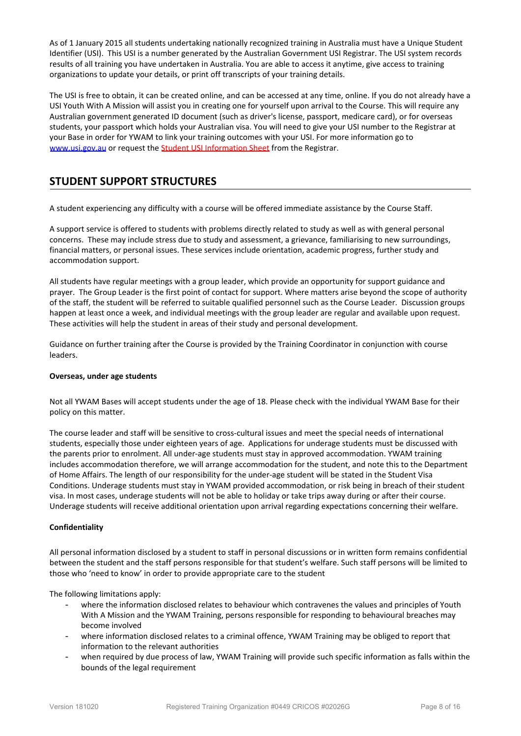As of 1 January 2015 all students undertaking nationally recognized training in Australia must have a Unique Student Identifier (USI). This USI is a number generated by the Australian Government USI Registrar. The USI system records results of all training you have undertaken in Australia. You are able to access it anytime, give access to training organizations to update your details, or print off transcripts of your training details.

The USI is free to obtain, it can be created online, and can be accessed at any time, online. If you do not already have a USI Youth With A Mission will assist you in creating one for yourself upon arrival to the Course. This will require any Australian government generated ID document (such as driver's license, passport, medicare card), or for overseas students, your passport which holds your Australian visa. You will need to give your USI number to the Registrar at your Base in order for YWAM to link your training outcomes with your USI. For more information go to [www.usi.gov.au](http://www.usi.gov.au/) or request the **Student USI Information Sheet** from the Registrar.

# <span id="page-12-0"></span>**STUDENT SUPPORT STRUCTURES**

A student experiencing any difficulty with a course will be offered immediate assistance by the Course Staff.

A support service is offered to students with problems directly related to study as well as with general personal concerns. These may include stress due to study and assessment, a grievance, familiarising to new surroundings, financial matters, or personal issues. These services include orientation, academic progress, further study and accommodation support.

All students have regular meetings with a group leader, which provide an opportunity for support guidance and prayer. The Group Leader is the first point of contact for support. Where matters arise beyond the scope of authority of the staff, the student will be referred to suitable qualified personnel such as the Course Leader. Discussion groups happen at least once a week, and individual meetings with the group leader are regular and available upon request. These activities will help the student in areas of their study and personal development.

Guidance on further training after the Course is provided by the Training Coordinator in conjunction with course leaders.

#### <span id="page-12-1"></span>**Overseas, under age students**

Not all YWAM Bases will accept students under the age of 18. Please check with the individual YWAM Base for their policy on this matter.

The course leader and staff will be sensitive to cross-cultural issues and meet the special needs of international students, especially those under eighteen years of age. Applications for underage students must be discussed with the parents prior to enrolment. All under-age students must stay in approved accommodation. YWAM training includes accommodation therefore, we will arrange accommodation for the student, and note this to the Department of Home Affairs. The length of our responsibility for the under-age student will be stated in the Student Visa Conditions. Underage students must stay in YWAM provided accommodation, or risk being in breach of their student visa. In most cases, underage students will not be able to holiday or take trips away during or after their course. Underage students will receive additional orientation upon arrival regarding expectations concerning their welfare.

#### <span id="page-12-2"></span>**Confidentiality**

All personal information disclosed by a student to staff in personal discussions or in written form remains confidential between the student and the staff persons responsible for that student's welfare. Such staff persons will be limited to those who 'need to know' in order to provide appropriate care to the student

The following limitations apply:

- where the information disclosed relates to behaviour which contravenes the values and principles of Youth With A Mission and the YWAM Training, persons responsible for responding to behavioural breaches may become involved
- where information disclosed relates to a criminal offence, YWAM Training may be obliged to report that information to the relevant authorities
- when required by due process of law, YWAM Training will provide such specific information as falls within the bounds of the legal requirement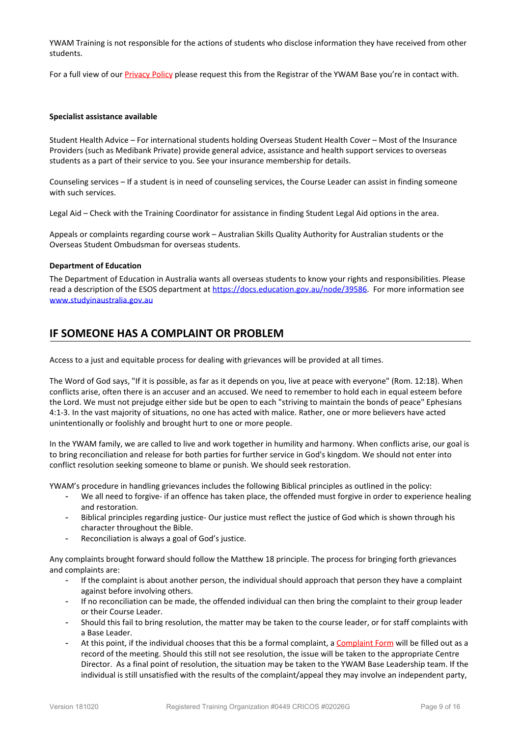YWAM Training is not responsible for the actions of students who disclose information they have received from other students.

For a full view of our Privacy Policy please request this from the Registrar of the YWAM Base you're in contact with.

#### <span id="page-13-0"></span>**Specialist assistance available**

Student Health Advice – For international students holding Overseas Student Health Cover – Most of the Insurance Providers (such as Medibank Private) provide general advice, assistance and health support services to overseas students as a part of their service to you. See your insurance membership for details.

Counseling services – If a student is in need of counseling services, the Course Leader can assist in finding someone with such services.

Legal Aid – Check with the Training Coordinator for assistance in finding Student Legal Aid options in the area.

Appeals or complaints regarding course work – Australian Skills Quality Authority for Australian students or the Overseas Student Ombudsman for overseas students.

#### <span id="page-13-1"></span>**Department of Education**

The Department of Education in Australia wants all overseas students to know your rights and responsibilities. Please read a description of the ESOS department at <https://docs.education.gov.au/node/39586>. For more information see [www.studyinaustralia.gov.au](http://www.studyinaustralia.gov.au/)

# <span id="page-13-2"></span>**IF SOMEONE HAS A COMPLAINT OR PROBLEM**

Access to a just and equitable process for dealing with grievances will be provided at all times.

The Word of God says, "If it is possible, as far as it depends on you, live at peace with everyone" (Rom. 12:18). When conflicts arise, often there is an accuser and an accused. We need to remember to hold each in equal esteem before the Lord. We must not prejudge either side but be open to each "striving to maintain the bonds of peace" Ephesians 4:1-3. In the vast majority of situations, no one has acted with malice. Rather, one or more believers have acted unintentionally or foolishly and brought hurt to one or more people.

In the YWAM family, we are called to live and work together in humility and harmony. When conflicts arise, our goal is to bring reconciliation and release for both parties for further service in God's kingdom. We should not enter into conflict resolution seeking someone to blame or punish. We should seek restoration.

YWAM's procedure in handling grievances includes the following Biblical principles as outlined in the policy:

- We all need to forgive- if an offence has taken place, the offended must forgive in order to experience healing and restoration.
- Biblical principles regarding justice- Our justice must reflect the justice of God which is shown through his character throughout the Bible.
- Reconciliation is always a goal of God's justice.

Any complaints brought forward should follow the Matthew 18 principle. The process for bringing forth grievances and complaints are:

- If the complaint is about another person, the individual should approach that person they have a complaint against before involving others.
- If no reconciliation can be made, the offended individual can then bring the complaint to their group leader or their Course Leader.
- Should this fail to bring resolution, the matter may be taken to the course leader, or for staff complaints with a Base Leader.
- At this point, if the individual chooses that this be a formal complaint, a Complaint Form will be filled out as a record of the meeting. Should this still not see resolution, the issue will be taken to the appropriate Centre Director. As a final point of resolution, the situation may be taken to the YWAM Base Leadership team. If the individual is still unsatisfied with the results of the complaint/appeal they may involve an independent party,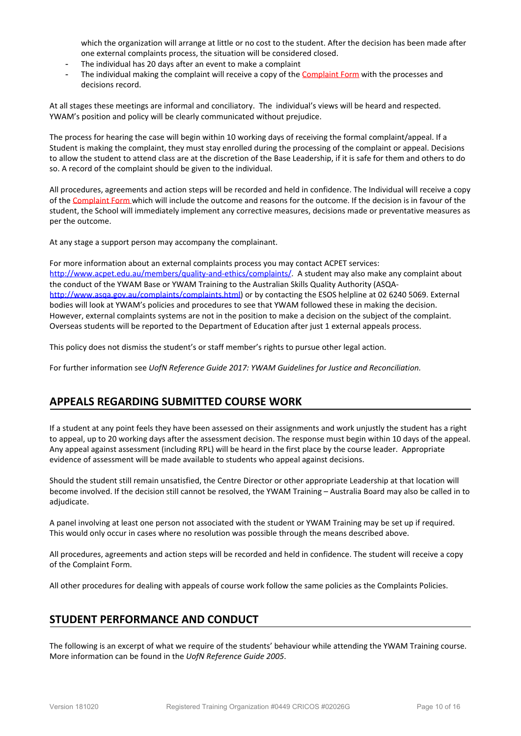which the organization will arrange at little or no cost to the student. After the decision has been made after one external complaints process, the situation will be considered closed.

- The individual has 20 days after an event to make a complaint
- The individual making the complaint will receive a copy of the Complaint Form with the processes and decisions record.

At all stages these meetings are informal and conciliatory. The individual's views will be heard and respected. YWAM's position and policy will be clearly communicated without prejudice.

The process for hearing the case will begin within 10 working days of receiving the formal complaint/appeal. If a Student is making the complaint, they must stay enrolled during the processing of the complaint or appeal. Decisions to allow the student to attend class are at the discretion of the Base Leadership, if it is safe for them and others to do so. A record of the complaint should be given to the individual.

All procedures, agreements and action steps will be recorded and held in confidence. The Individual will receive a copy of the Complaint Form which will include the outcome and reasons for the outcome. If the decision is in favour of the student, the School will immediately implement any corrective measures, decisions made or preventative measures as per the outcome.

At any stage a support person may accompany the complainant.

For more information about an external complaints process you may contact ACPET services: <http://www.acpet.edu.au/members/quality-and-ethics/complaints/>. A student may also make any complaint about the conduct of the YWAM Base or YWAM Training to the Australian Skills Quality Authority (ASQA<http://www.asqa.gov.au/complaints/complaints.html>) or by contacting the ESOS helpline at 02 6240 5069. External bodies will look at YWAM's policies and procedures to see that YWAM followed these in making the decision. However, external complaints systems are not in the position to make a decision on the subject of the complaint. Overseas students will be reported to the Department of Education after just 1 external appeals process.

This policy does not dismiss the student's or staff member's rights to pursue other legal action.

For further information see *UofN Reference Guide 2017: YWAM Guidelines for Justice and Reconciliation.*

# <span id="page-14-0"></span>**APPEALS REGARDING SUBMITTED COURSE WORK**

If a student at any point feels they have been assessed on their assignments and work unjustly the student has a right to appeal, up to 20 working days after the assessment decision. The response must begin within 10 days of the appeal. Any appeal against assessment (including RPL) will be heard in the first place by the course leader. Appropriate evidence of assessment will be made available to students who appeal against decisions.

Should the student still remain unsatisfied, the Centre Director or other appropriate Leadership at that location will become involved. If the decision still cannot be resolved, the YWAM Training – Australia Board may also be called in to adjudicate.

A panel involving at least one person not associated with the student or YWAM Training may be set up if required. This would only occur in cases where no resolution was possible through the means described above.

All procedures, agreements and action steps will be recorded and held in confidence. The student will receive a copy of the Complaint Form.

All other procedures for dealing with appeals of course work follow the same policies as the Complaints Policies.

# <span id="page-14-1"></span>**STUDENT PERFORMANCE AND CONDUCT**

The following is an excerpt of what we require of the students' behaviour while attending the YWAM Training course. More information can be found in the *UofN Reference Guide 2005*.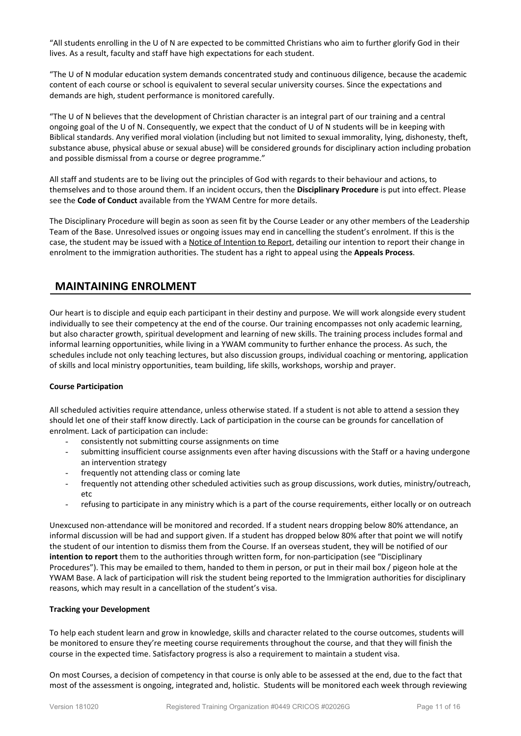"All students enrolling in the U of N are expected to be committed Christians who aim to further glorify God in their lives. As a result, faculty and staff have high expectations for each student.

"The U of N modular education system demands concentrated study and continuous diligence, because the academic content of each course or school is equivalent to several secular university courses. Since the expectations and demands are high, student performance is monitored carefully.

"The U of N believes that the development of Christian character is an integral part of our training and a central ongoing goal of the U of N. Consequently, we expect that the conduct of U of N students will be in keeping with Biblical standards. Any verified moral violation (including but not limited to sexual immorality, lying, dishonesty, theft, substance abuse, physical abuse or sexual abuse) will be considered grounds for disciplinary action including probation and possible dismissal from a course or degree programme."

All staff and students are to be living out the principles of God with regards to their behaviour and actions, to themselves and to those around them. If an incident occurs, then the **Disciplinary Procedure** is put into effect. Please see the **Code of Conduct** available from the YWAM Centre for more details.

The Disciplinary Procedure will begin as soon as seen fit by the Course Leader or any other members of the Leadership Team of the Base. Unresolved issues or ongoing issues may end in cancelling the student's enrolment. If this is the case, the student may be issued with a Notice of Intention to Report, detailing our intention to report their change in enrolment to the immigration authorities. The student has a right to appeal using the **Appeals Process**.

# <span id="page-15-0"></span>**MAINTAINING ENROLMENT**

Our heart is to disciple and equip each participant in their destiny and purpose. We will work alongside every student individually to see their competency at the end of the course. Our training encompasses not only academic learning, but also character growth, spiritual development and learning of new skills. The training process includes formal and informal learning opportunities, while living in a YWAM community to further enhance the process. As such, the schedules include not only teaching lectures, but also discussion groups, individual coaching or mentoring, application of skills and local ministry opportunities, team building, life skills, workshops, worship and prayer.

#### <span id="page-15-1"></span>**Course Participation**

All scheduled activities require attendance, unless otherwise stated. If a student is not able to attend a session they should let one of their staff know directly. Lack of participation in the course can be grounds for cancellation of enrolment. Lack of participation can include:

- consistently not submitting course assignments on time
- submitting insufficient course assignments even after having discussions with the Staff or a having undergone an intervention strategy
- frequently not attending class or coming late
- frequently not attending other scheduled activities such as group discussions, work duties, ministry/outreach, etc
- refusing to participate in any ministry which is a part of the course requirements, either locally or on outreach

Unexcused non-attendance will be monitored and recorded. If a student nears dropping below 80% attendance, an informal discussion will be had and support given. If a student has dropped below 80% after that point we will notify the student of our intention to dismiss them from the Course. If an overseas student, they will be notified of our **intention to report** them to the authorities through written form, for non-participation (see "Disciplinary Procedures"). This may be emailed to them, handed to them in person, or put in their mail box / pigeon hole at the YWAM Base. A lack of participation will risk the student being reported to the Immigration authorities for disciplinary reasons, which may result in a cancellation of the student's visa.

#### <span id="page-15-2"></span>**Tracking your Development**

To help each student learn and grow in knowledge, skills and character related to the course outcomes, students will be monitored to ensure they're meeting course requirements throughout the course, and that they will finish the course in the expected time. Satisfactory progress is also a requirement to maintain a student visa.

On most Courses, a decision of competency in that course is only able to be assessed at the end, due to the fact that most of the assessment is ongoing, integrated and, holistic. Students will be monitored each week through reviewing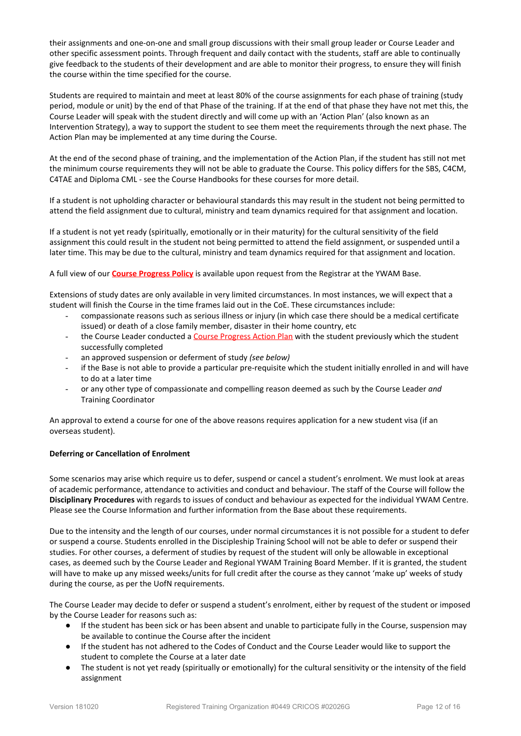their assignments and one-on-one and small group discussions with their small group leader or Course Leader and other specific assessment points. Through frequent and daily contact with the students, staff are able to continually give feedback to the students of their development and are able to monitor their progress, to ensure they will finish the course within the time specified for the course.

Students are required to maintain and meet at least 80% of the course assignments for each phase of training (study period, module or unit) by the end of that Phase of the training. If at the end of that phase they have not met this, the Course Leader will speak with the student directly and will come up with an 'Action Plan' (also known as an Intervention Strategy), a way to support the student to see them meet the requirements through the next phase. The Action Plan may be implemented at any time during the Course.

At the end of the second phase of training, and the implementation of the Action Plan, if the student has still not met the minimum course requirements they will not be able to graduate the Course. This policy differs for the SBS, C4CM, C4TAE and Diploma CML - see the Course Handbooks for these courses for more detail.

If a student is not upholding character or behavioural standards this may result in the student not being permitted to attend the field assignment due to cultural, ministry and team dynamics required for that assignment and location.

If a student is not yet ready (spiritually, emotionally or in their maturity) for the cultural sensitivity of the field assignment this could result in the student not being permitted to attend the field assignment, or suspended until a later time. This may be due to the cultural, ministry and team dynamics required for that assignment and location.

A full view of our **Course Progress Policy** is available upon request from the Registrar at the YWAM Base.

Extensions of study dates are only available in very limited circumstances. In most instances, we will expect that a student will finish the Course in the time frames laid out in the CoE. These circumstances include:

- compassionate reasons such as serious illness or injury (in which case there should be a medical certificate issued) or death of a close family member, disaster in their home country, etc
- the Course Leader conducted a Course Progress Action Plan with the student previously which the student successfully completed
- an approved suspension or deferment of study *(see below)*
- if the Base is not able to provide a particular pre-requisite which the student initially enrolled in and will have to do at a later time
- or any other type of compassionate and compelling reason deemed as such by the Course Leader *and* Training Coordinator

An approval to extend a course for one of the above reasons requires application for a new student visa (if an overseas student).

#### <span id="page-16-0"></span>**Deferring or Cancellation of Enrolment**

Some scenarios may arise which require us to defer, suspend or cancel a student's enrolment. We must look at areas of academic performance, attendance to activities and conduct and behaviour. The staff of the Course will follow the **Disciplinary Procedures** with regards to issues of conduct and behaviour as expected for the individual YWAM Centre. Please see the Course Information and further information from the Base about these requirements.

Due to the intensity and the length of our courses, under normal circumstances it is not possible for a student to defer or suspend a course. Students enrolled in the Discipleship Training School will not be able to defer or suspend their studies. For other courses, a deferment of studies by request of the student will only be allowable in exceptional cases, as deemed such by the Course Leader and Regional YWAM Training Board Member. If it is granted, the student will have to make up any missed weeks/units for full credit after the course as they cannot 'make up' weeks of study during the course, as per the UofN requirements.

The Course Leader may decide to defer or suspend a student's enrolment, either by request of the student or imposed by the Course Leader for reasons such as:

- If the student has been sick or has been absent and unable to participate fully in the Course, suspension may be available to continue the Course after the incident
- If the student has not adhered to the Codes of Conduct and the Course Leader would like to support the student to complete the Course at a later date
- The student is not yet ready (spiritually or emotionally) for the cultural sensitivity or the intensity of the field assignment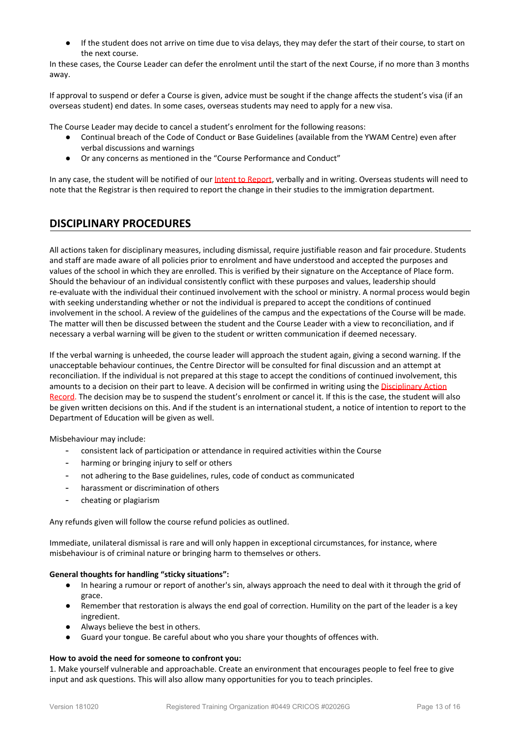● If the student does not arrive on time due to visa delays, they may defer the start of their course, to start on the next course.

In these cases, the Course Leader can defer the enrolment until the start of the next Course, if no more than 3 months away.

If approval to suspend or defer a Course is given, advice must be sought if the change affects the student's visa (if an overseas student) end dates. In some cases, overseas students may need to apply for a new visa.

The Course Leader may decide to cancel a student's enrolment for the following reasons:

- Continual breach of the Code of Conduct or Base Guidelines (available from the YWAM Centre) even after verbal discussions and warnings
- Or any concerns as mentioned in the "Course Performance and Conduct"

In any case, the student will be notified of our Intent to Report, verbally and in writing. Overseas students will need to note that the Registrar is then required to report the change in their studies to the immigration department.

# <span id="page-17-0"></span>**DISCIPLINARY PROCEDURES**

All actions taken for disciplinary measures, including dismissal, require justifiable reason and fair procedure. Students and staff are made aware of all policies prior to enrolment and have understood and accepted the purposes and values of the school in which they are enrolled. This is verified by their signature on the Acceptance of Place form. Should the behaviour of an individual consistently conflict with these purposes and values, leadership should re-evaluate with the individual their continued involvement with the school or ministry. A normal process would begin with seeking understanding whether or not the individual is prepared to accept the conditions of continued involvement in the school. A review of the guidelines of the campus and the expectations of the Course will be made. The matter will then be discussed between the student and the Course Leader with a view to reconciliation, and if necessary a verbal warning will be given to the student or written communication if deemed necessary.

If the verbal warning is unheeded, the course leader will approach the student again, giving a second warning. If the unacceptable behaviour continues, the Centre Director will be consulted for final discussion and an attempt at reconciliation. If the individual is not prepared at this stage to accept the conditions of continued involvement, this amounts to a decision on their part to leave. A decision will be confirmed in writing using the Disciplinary Action Record. The decision may be to suspend the student's enrolment or cancel it. If this is the case, the student will also be given written decisions on this. And if the student is an international student, a notice of intention to report to the Department of Education will be given as well.

Misbehaviour may include:

- consistent lack of participation or attendance in required activities within the Course
- harming or bringing injury to self or others
- not adhering to the Base guidelines, rules, code of conduct as communicated
- harassment or discrimination of others
- cheating or plagiarism

Any refunds given will follow the course refund policies as outlined.

Immediate, unilateral dismissal is rare and will only happen in exceptional circumstances, for instance, where misbehaviour is of criminal nature or bringing harm to themselves or others.

#### **General thoughts for handling "sticky situations":**

- In hearing a rumour or report of another's sin, always approach the need to deal with it through the grid of grace.
- Remember that restoration is always the end goal of correction. Humility on the part of the leader is a key ingredient.
- Always believe the best in others.
- Guard your tongue. Be careful about who you share your thoughts of offences with.

#### **How to avoid the need for someone to confront you:**

1. Make yourself vulnerable and approachable. Create an environment that encourages people to feel free to give input and ask questions. This will also allow many opportunities for you to teach principles.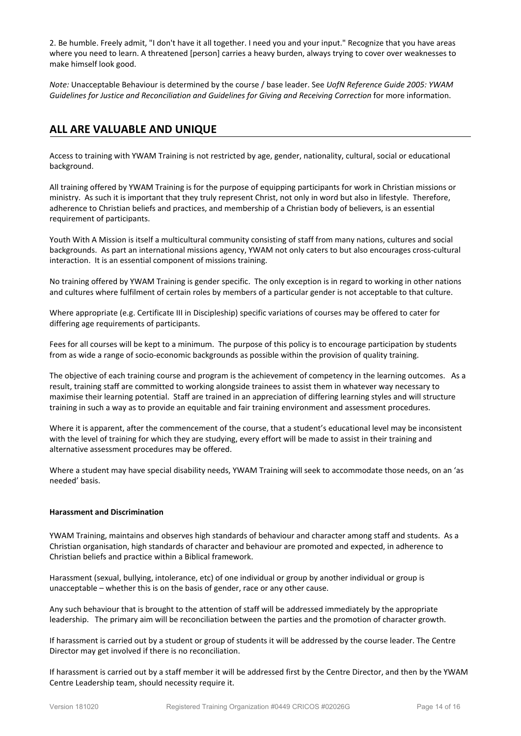2. Be humble. Freely admit, "I don't have it all together. I need you and your input." Recognize that you have areas where you need to learn. A threatened [person] carries a heavy burden, always trying to cover over weaknesses to make himself look good.

*Note:* Unacceptable Behaviour is determined by the course / base leader. See *UofN Reference Guide 2005: YWAM Guidelines for Justice and Reconciliation and Guidelines for Giving and Receiving Correction* for more information.

# <span id="page-18-0"></span>**ALL ARE VALUABLE AND UNIQUE**

Access to training with YWAM Training is not restricted by age, gender, nationality, cultural, social or educational background.

All training offered by YWAM Training is for the purpose of equipping participants for work in Christian missions or ministry. As such it is important that they truly represent Christ, not only in word but also in lifestyle. Therefore, adherence to Christian beliefs and practices, and membership of a Christian body of believers, is an essential requirement of participants.

Youth With A Mission is itself a multicultural community consisting of staff from many nations, cultures and social backgrounds. As part an international missions agency, YWAM not only caters to but also encourages cross-cultural interaction. It is an essential component of missions training.

No training offered by YWAM Training is gender specific. The only exception is in regard to working in other nations and cultures where fulfilment of certain roles by members of a particular gender is not acceptable to that culture.

Where appropriate (e.g. Certificate III in Discipleship) specific variations of courses may be offered to cater for differing age requirements of participants.

Fees for all courses will be kept to a minimum. The purpose of this policy is to encourage participation by students from as wide a range of socio-economic backgrounds as possible within the provision of quality training.

The objective of each training course and program is the achievement of competency in the learning outcomes. As a result, training staff are committed to working alongside trainees to assist them in whatever way necessary to maximise their learning potential. Staff are trained in an appreciation of differing learning styles and will structure training in such a way as to provide an equitable and fair training environment and assessment procedures.

Where it is apparent, after the commencement of the course, that a student's educational level may be inconsistent with the level of training for which they are studying, every effort will be made to assist in their training and alternative assessment procedures may be offered.

Where a student may have special disability needs, YWAM Training will seek to accommodate those needs, on an 'as needed' basis.

#### <span id="page-18-1"></span>**Harassment and Discrimination**

YWAM Training, maintains and observes high standards of behaviour and character among staff and students. As a Christian organisation, high standards of character and behaviour are promoted and expected, in adherence to Christian beliefs and practice within a Biblical framework.

Harassment (sexual, bullying, intolerance, etc) of one individual or group by another individual or group is unacceptable – whether this is on the basis of gender, race or any other cause.

Any such behaviour that is brought to the attention of staff will be addressed immediately by the appropriate leadership. The primary aim will be reconciliation between the parties and the promotion of character growth.

If harassment is carried out by a student or group of students it will be addressed by the course leader. The Centre Director may get involved if there is no reconciliation.

If harassment is carried out by a staff member it will be addressed first by the Centre Director, and then by the YWAM Centre Leadership team, should necessity require it.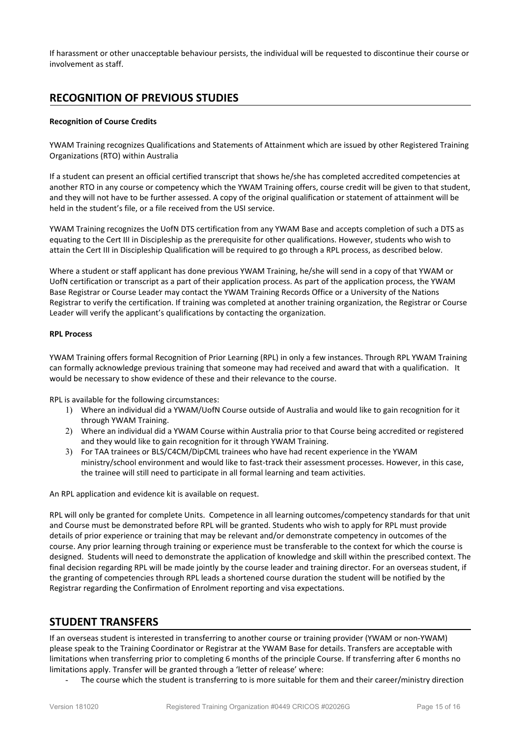If harassment or other unacceptable behaviour persists, the individual will be requested to discontinue their course or involvement as staff.

# <span id="page-19-0"></span>**RECOGNITION OF PREVIOUS STUDIES**

#### <span id="page-19-1"></span>**Recognition of Course Credits**

YWAM Training recognizes Qualifications and Statements of Attainment which are issued by other Registered Training Organizations (RTO) within Australia

If a student can present an official certified transcript that shows he/she has completed accredited competencies at another RTO in any course or competency which the YWAM Training offers, course credit will be given to that student, and they will not have to be further assessed. A copy of the original qualification or statement of attainment will be held in the student's file, or a file received from the USI service.

YWAM Training recognizes the UofN DTS certification from any YWAM Base and accepts completion of such a DTS as equating to the Cert III in Discipleship as the prerequisite for other qualifications. However, students who wish to attain the Cert III in Discipleship Qualification will be required to go through a RPL process, as described below.

Where a student or staff applicant has done previous YWAM Training, he/she will send in a copy of that YWAM or UofN certification or transcript as a part of their application process. As part of the application process, the YWAM Base Registrar or Course Leader may contact the YWAM Training Records Office or a University of the Nations Registrar to verify the certification. If training was completed at another training organization, the Registrar or Course Leader will verify the applicant's qualifications by contacting the organization.

#### <span id="page-19-2"></span>**RPL Process**

YWAM Training offers formal Recognition of Prior Learning (RPL) in only a few instances. Through RPL YWAM Training can formally acknowledge previous training that someone may had received and award that with a qualification. It would be necessary to show evidence of these and their relevance to the course.

RPL is available for the following circumstances:

- 1) Where an individual did a YWAM/UofN Course outside of Australia and would like to gain recognition for it through YWAM Training.
- 2) Where an individual did a YWAM Course within Australia prior to that Course being accredited or registered and they would like to gain recognition for it through YWAM Training.
- 3) For TAA trainees or BLS/C4CM/DipCML trainees who have had recent experience in the YWAM ministry/school environment and would like to fast-track their assessment processes. However, in this case, the trainee will still need to participate in all formal learning and team activities.

An RPL application and evidence kit is available on request.

RPL will only be granted for complete Units. Competence in all learning outcomes/competency standards for that unit and Course must be demonstrated before RPL will be granted. Students who wish to apply for RPL must provide details of prior experience or training that may be relevant and/or demonstrate competency in outcomes of the course. Any prior learning through training or experience must be transferable to the context for which the course is designed. Students will need to demonstrate the application of knowledge and skill within the prescribed context. The final decision regarding RPL will be made jointly by the course leader and training director. For an overseas student, if the granting of competencies through RPL leads a shortened course duration the student will be notified by the Registrar regarding the Confirmation of Enrolment reporting and visa expectations.

# <span id="page-19-3"></span>**STUDENT TRANSFERS**

If an overseas student is interested in transferring to another course or training provider (YWAM or non-YWAM) please speak to the Training Coordinator or Registrar at the YWAM Base for details. Transfers are acceptable with limitations when transferring prior to completing 6 months of the principle Course. If transferring after 6 months no limitations apply. Transfer will be granted through a 'letter of release' where:

The course which the student is transferring to is more suitable for them and their career/ministry direction